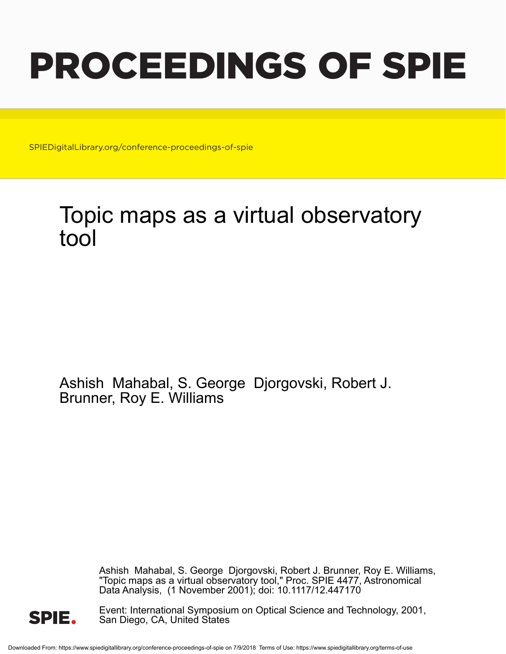# PROCEEDINGS OF SPIE

SPIEDigitalLibrary.org/conference-proceedings-of-spie

# Topic maps as a virtual observatory tool

Ashish Mahabal, S. George Djorgovski, Robert J. Brunner, Roy E. Williams

> Ashish Mahabal, S. George Djorgovski, Robert J. Brunner, Roy E. Williams, "Topic maps as a virtual observatory tool," Proc. SPIE 4477, Astronomical Data Analysis, (1 November 2001); doi: 10.1117/12.447170



Event: International Symposium on Optical Science and Technology, 2001, San Diego, CA, United States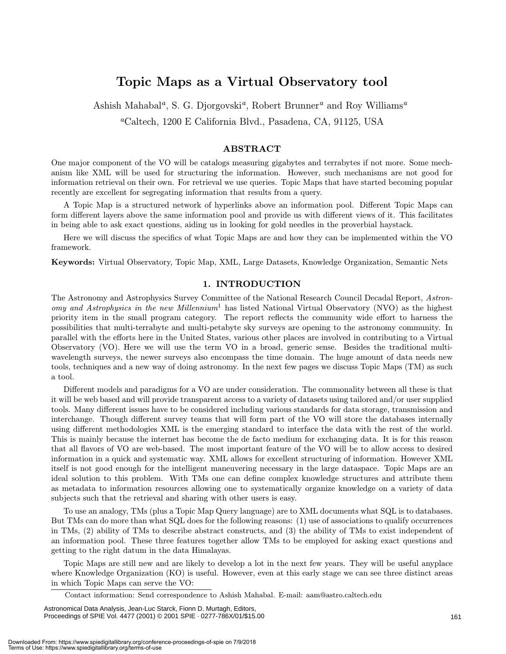# Topic Maps as a Virtual Observatory tool

Ashish Mahabal<sup>a</sup>, S. G. Djorgovski<sup>a</sup>, Robert Brunner<sup>a</sup> and Roy Williams<sup>a</sup> <sup>a</sup>Caltech, 1200 E California Blvd., Pasadena, CA, 91125, USA

#### ABSTRACT

One major component of the VO will be catalogs measuring gigabytes and terrabytes if not more. Some mechanism like XML will be used for structuring the information. However, such mechanisms are not good for information retrieval on their own. For retrieval we use queries. Topic Maps that have started becoming popular recently are excellent for segregating information that results from a query.

A Topic Map is a structured network of hyperlinks above an information pool. Different Topic Maps can form different layers above the same information pool and provide us with different views of it. This facilitates in being able to ask exact questions, aiding us in looking for gold needles in the proverbial haystack.

Here we will discuss the specifics of what Topic Maps are and how they can be implemented within the VO framework.

Keywords: Virtual Observatory, Topic Map, XML, Large Datasets, Knowledge Organization, Semantic Nets

# 1. INTRODUCTION

The Astronomy and Astrophysics Survey Committee of the National Research Council Decadal Report, Astronomy and Astrophysics in the new Millennium<sup>1</sup> has listed National Virtual Observatory (NVO) as the highest priority item in the small program category. The report reflects the community wide effort to harness the possibilities that multi-terrabyte and multi-petabyte sky surveys are opening to the astronomy community. In parallel with the efforts here in the United States, various other places are involved in contributing to a Virtual Observatory (VO). Here we will use the term VO in a broad, generic sense. Besides the traditional multiwavelength surveys, the newer surveys also encompass the time domain. The huge amount of data needs new tools, techniques and a new way of doing astronomy. In the next few pages we discuss Topic Maps (TM) as such a tool.

Different models and paradigms for a VO are under consideration. The commonality between all these is that it will be web based and will provide transparent access to a variety of datasets using tailored and/or user supplied tools. Many different issues have to be considered including various standards for data storage, transmission and interchange. Though different survey teams that will form part of the VO will store the databases internally using different methodologies XML is the emerging standard to interface the data with the rest of the world. This is mainly because the internet has become the de facto medium for exchanging data. It is for this reason that all flavors of VO are web-based. The most important feature of the VO will be to allow access to desired information in a quick and systematic way. XML allows for excellent structuring of information. However XML itself is not good enough for the intelligent maneuvering necessary in the large dataspace. Topic Maps are an ideal solution to this problem. With TMs one can define complex knowledge structures and attribute them as metadata to information resources allowing one to systematically organize knowledge on a variety of data subjects such that the retrieval and sharing with other users is easy.

To use an analogy, TMs (plus a Topic Map Query language) are to XML documents what SQL is to databases. But TMs can do more than what SQL does for the following reasons: (1) use of associations to qualify occurrences in TMs, (2) ability of TMs to describe abstract constructs, and (3) the ability of TMs to exist independent of an information pool. These three features together allow TMs to be employed for asking exact questions and getting to the right datum in the data Himalayas.

Topic Maps are still new and are likely to develop a lot in the next few years. They will be useful anyplace where Knowledge Organization (KO) is useful. However, even at this early stage we can see three distinct areas in which Topic Maps can serve the VO:

Downloaded From: https://www.spiedigitallibrary.org/conference-proceedings-of-spie on 7/9/2018 Terms of Use: https://www.spiedigitallibrary.org/terms-of-use

Contact information: Send correspondence to Ashish Mahabal. E-mail: aam@astro.caltech.edu

Astronomical Data Analysis, Jean-Luc Starck, Fionn D. Murtagh, Editors, Proceedings of SPIE Vol. 4477 (2001) © 2001 SPIE · 0277-786X/01/\$15.00 161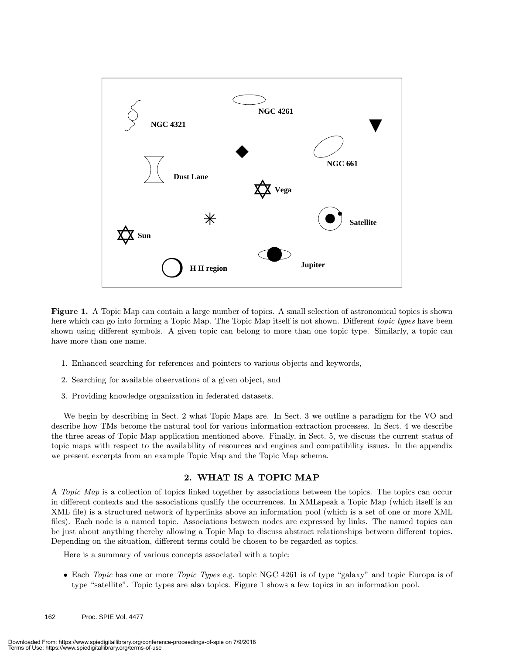

Figure 1. A Topic Map can contain a large number of topics. A small selection of astronomical topics is shown here which can go into forming a Topic Map. The Topic Map itself is not shown. Different *topic types* have been shown using different symbols. A given topic can belong to more than one topic type. Similarly, a topic can have more than one name.

- 1. Enhanced searching for references and pointers to various objects and keywords,
- 2. Searching for available observations of a given object, and
- 3. Providing knowledge organization in federated datasets.

We begin by describing in Sect. 2 what Topic Maps are. In Sect. 3 we outline a paradigm for the VO and describe how TMs become the natural tool for various information extraction processes. In Sect. 4 we describe the three areas of Topic Map application mentioned above. Finally, in Sect. 5, we discuss the current status of topic maps with respect to the availability of resources and engines and compatibility issues. In the appendix we present excerpts from an example Topic Map and the Topic Map schema.

#### 2. WHAT IS A TOPIC MAP

A Topic Map is a collection of topics linked together by associations between the topics. The topics can occur in different contexts and the associations qualify the occurrences. In XMLspeak a Topic Map (which itself is an XML file) is a structured network of hyperlinks above an information pool (which is a set of one or more XML files). Each node is a named topic. Associations between nodes are expressed by links. The named topics can be just about anything thereby allowing a Topic Map to discuss abstract relationships between different topics. Depending on the situation, different terms could be chosen to be regarded as topics.

Here is a summary of various concepts associated with a topic:

• Each Topic has one or more Topic Types e.g. topic NGC 4261 is of type "galaxy" and topic Europa is of type "satellite". Topic types are also topics. Figure 1 shows a few topics in an information pool.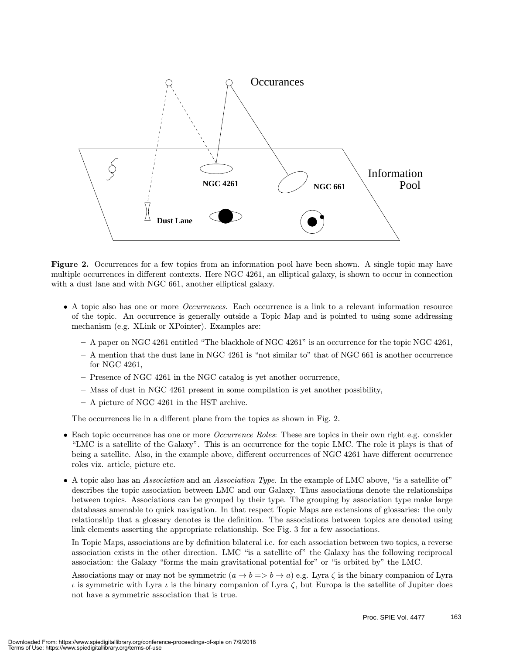

Figure 2. Occurrences for a few topics from an information pool have been shown. A single topic may have multiple occurrences in different contexts. Here NGC 4261, an elliptical galaxy, is shown to occur in connection with a dust lane and with NGC 661, another elliptical galaxy.

- A topic also has one or more Occurrences. Each occurrence is a link to a relevant information resource of the topic. An occurrence is generally outside a Topic Map and is pointed to using some addressing mechanism (e.g. XLink or XPointer). Examples are:
	- $-$  A paper on NGC 4261 entitled "The blackhole of NGC 4261" is an occurrence for the topic NGC 4261,
	- A mention that the dust lane in NGC 4261 is "not similar to" that of NGC 661 is another occurrence for NGC 4261,
	- Presence of NGC 4261 in the NGC catalog is yet another occurrence,
	- Mass of dust in NGC 4261 present in some compilation is yet another possibility,
	- A picture of NGC 4261 in the HST archive.

The occurrences lie in a different plane from the topics as shown in Fig. 2.

- Each topic occurrence has one or more *Occurrence Roles*: These are topics in their own right e.g. consider "LMC is a satellite of the Galaxy". This is an occurrence for the topic LMC. The role it plays is that of being a satellite. Also, in the example above, different occurrences of NGC 4261 have different occurrence roles viz. article, picture etc.
- A topic also has an Association and an Association Type. In the example of LMC above, "is a satellite of" describes the topic association between LMC and our Galaxy. Thus associations denote the relationships between topics. Associations can be grouped by their type. The grouping by association type make large databases amenable to quick navigation. In that respect Topic Maps are extensions of glossaries: the only relationship that a glossary denotes is the definition. The associations between topics are denoted using link elements asserting the appropriate relationship. See Fig. 3 for a few associations.

In Topic Maps, associations are by definition bilateral i.e. for each association between two topics, a reverse association exists in the other direction. LMC "is a satellite of" the Galaxy has the following reciprocal association: the Galaxy "forms the main gravitational potential for" or "is orbited by" the LMC.

Associations may or may not be symmetric  $(a \to b \to b \to a)$  e.g. Lyra  $\zeta$  is the binary companion of Lyra ι is symmetric with Lyra ι is the binary companion of Lyra ζ, but Europa is the satellite of Jupiter does not have a symmetric association that is true.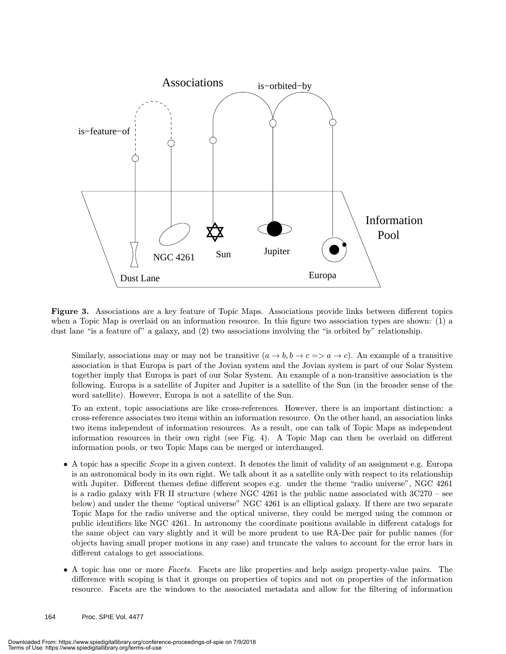

Figure 3. Associations are a key feature of Topic Maps. Associations provide links between different topics when a Topic Map is overlaid on an information resource. In this figure two association types are shown: (1) a dust lane "is a feature of" a galaxy, and (2) two associations involving the "is orbited by" relationship.

Similarly, associations may or may not be transitive  $(a \to b, b \to c \to a \to c)$ . An example of a transitive association is that Europa is part of the Jovian system and the Jovian system is part of our Solar System together imply that Europa is part of our Solar System. An example of a non-transitive association is the following. Europa is a satellite of Jupiter and Jupiter is a satellite of the Sun (in the broader sense of the word satellite). However, Europa is not a satellite of the Sun.

To an extent, topic associations are like cross-references. However, there is an important distinction: a cross-reference associates two items within an information resource. On the other hand, an association links two items independent of information resources. As a result, one can talk of Topic Maps as independent information resources in their own right (see Fig. 4). A Topic Map can then be overlaid on different information pools, or two Topic Maps can be merged or interchanged.

- A topic has a specific *Scope* in a given context. It denotes the limit of validity of an assignment e.g. Europa is an astronomical body in its own right. We talk about it as a satellite only with respect to its relationship with Jupiter. Different themes define different scopes e.g. under the theme "radio universe", NGC 4261 is a radio galaxy with FR II structure (where NGC 4261 is the public name associated with 3C270 – see below) and under the theme "optical universe" NGC 4261 is an elliptical galaxy. If there are two separate Topic Maps for the radio universe and the optical universe, they could be merged using the common or public identifiers like NGC 4261. In astronomy the coordinate positions available in different catalogs for the same object can vary slightly and it will be more prudent to use RA-Dec pair for public names (for objects having small proper motions in any case) and truncate the values to account for the error bars in different catalogs to get associations.
- A topic has one or more Facets. Facets are like properties and help assign property-value pairs. The difference with scoping is that it groups on properties of topics and not on properties of the information resource. Facets are the windows to the associated metadata and allow for the filtering of information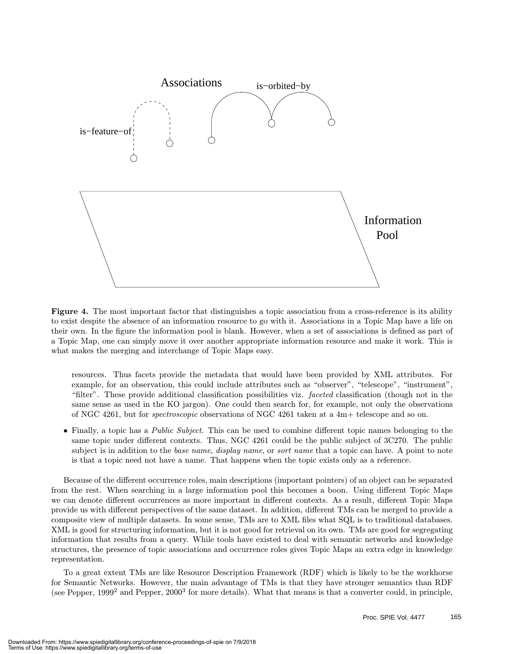

Figure 4. The most important factor that distinguishes a topic association from a cross-reference is its ability to exist despite the absence of an information resource to go with it. Associations in a Topic Map have a life on their own. In the figure the information pool is blank. However, when a set of associations is defined as part of a Topic Map, one can simply move it over another appropriate information resource and make it work. This is what makes the merging and interchange of Topic Maps easy.

resources. Thus facets provide the metadata that would have been provided by XML attributes. For example, for an observation, this could include attributes such as "observer", "telescope", "instrument", "filter". These provide additional classification possibilities viz. faceted classification (though not in the same sense as used in the KO jargon). One could then search for, for example, not only the observations of NGC 4261, but for spectroscopic observations of NGC 4261 taken at a 4m+ telescope and so on.

• Finally, a topic has a *Public Subject*. This can be used to combine different topic names belonging to the same topic under different contexts. Thus, NGC 4261 could be the public subject of 3C270. The public subject is in addition to the base name, display name, or sort name that a topic can have. A point to note is that a topic need not have a name. That happens when the topic exists only as a reference.

Because of the different occurrence roles, main descriptions (important pointers) of an object can be separated from the rest. When searching in a large information pool this becomes a boon. Using different Topic Maps we can denote different occurrences as more important in different contexts. As a result, different Topic Maps provide us with different perspectives of the same dataset. In addition, different TMs can be merged to provide a composite view of multiple datasets. In some sense, TMs are to XML files what SQL is to traditional databases. XML is good for structuring information, but it is not good for retrieval on its own. TMs are good for segregating information that results from a query. While tools have existed to deal with semantic networks and knowledge structures, the presence of topic associations and occurrence roles gives Topic Maps an extra edge in knowledge representation.

To a great extent TMs are like Resource Description Framework (RDF) which is likely to be the workhorse for Semantic Networks. However, the main advantage of TMs is that they have stronger semantics than RDF (see Pepper,  $1999^2$  and Pepper,  $2000^3$  for more details). What that means is that a converter could, in principle,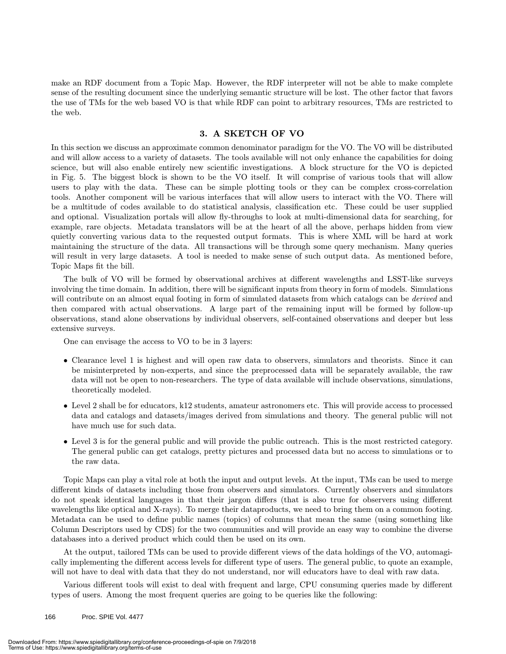make an RDF document from a Topic Map. However, the RDF interpreter will not be able to make complete sense of the resulting document since the underlying semantic structure will be lost. The other factor that favors the use of TMs for the web based VO is that while RDF can point to arbitrary resources, TMs are restricted to the web.

#### 3. A SKETCH OF VO

In this section we discuss an approximate common denominator paradigm for the VO. The VO will be distributed and will allow access to a variety of datasets. The tools available will not only enhance the capabilities for doing science, but will also enable entirely new scientific investigations. A block structure for the VO is depicted in Fig. 5. The biggest block is shown to be the VO itself. It will comprise of various tools that will allow users to play with the data. These can be simple plotting tools or they can be complex cross-correlation tools. Another component will be various interfaces that will allow users to interact with the VO. There will be a multitude of codes available to do statistical analysis, classification etc. These could be user supplied and optional. Visualization portals will allow fly-throughs to look at multi-dimensional data for searching, for example, rare objects. Metadata translators will be at the heart of all the above, perhaps hidden from view quietly converting various data to the requested output formats. This is where XML will be hard at work maintaining the structure of the data. All transactions will be through some query mechanism. Many queries will result in very large datasets. A tool is needed to make sense of such output data. As mentioned before, Topic Maps fit the bill.

The bulk of VO will be formed by observational archives at different wavelengths and LSST-like surveys involving the time domain. In addition, there will be significant inputs from theory in form of models. Simulations will contribute on an almost equal footing in form of simulated datasets from which catalogs can be *derived* and then compared with actual observations. A large part of the remaining input will be formed by follow-up observations, stand alone observations by individual observers, self-contained observations and deeper but less extensive surveys.

One can envisage the access to VO to be in 3 layers:

- Clearance level 1 is highest and will open raw data to observers, simulators and theorists. Since it can be misinterpreted by non-experts, and since the preprocessed data will be separately available, the raw data will not be open to non-researchers. The type of data available will include observations, simulations, theoretically modeled.
- Level 2 shall be for educators, k12 students, amateur astronomers etc. This will provide access to processed data and catalogs and datasets/images derived from simulations and theory. The general public will not have much use for such data.
- Level 3 is for the general public and will provide the public outreach. This is the most restricted category. The general public can get catalogs, pretty pictures and processed data but no access to simulations or to the raw data.

Topic Maps can play a vital role at both the input and output levels. At the input, TMs can be used to merge different kinds of datasets including those from observers and simulators. Currently observers and simulators do not speak identical languages in that their jargon differs (that is also true for observers using different wavelengths like optical and X-rays). To merge their dataproducts, we need to bring them on a common footing. Metadata can be used to define public names (topics) of columns that mean the same (using something like Column Descriptors used by CDS) for the two communities and will provide an easy way to combine the diverse databases into a derived product which could then be used on its own.

At the output, tailored TMs can be used to provide different views of the data holdings of the VO, automagically implementing the different access levels for different type of users. The general public, to quote an example, will not have to deal with data that they do not understand, nor will educators have to deal with raw data.

Various different tools will exist to deal with frequent and large, CPU consuming queries made by different types of users. Among the most frequent queries are going to be queries like the following:

Downloaded From: https://www.spiedigitallibrary.org/conference-proceedings-of-spie on 7/9/2018 Terms of Use: https://www.spiedigitallibrary.org/terms-of-use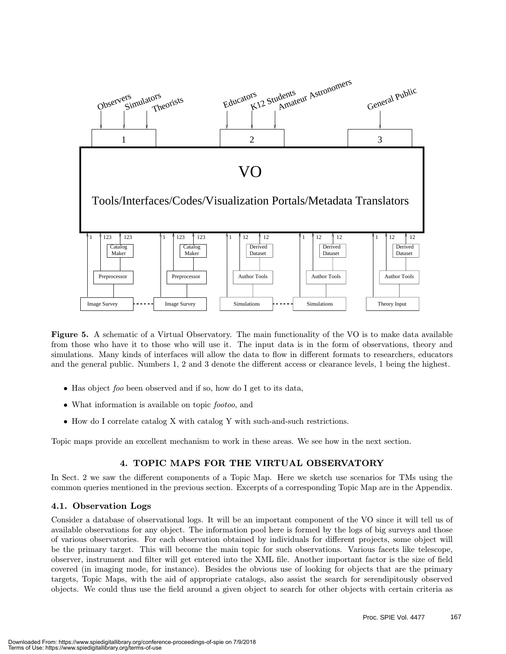

Figure 5. A schematic of a Virtual Observatory. The main functionality of the VO is to make data available from those who have it to those who will use it. The input data is in the form of observations, theory and simulations. Many kinds of interfaces will allow the data to flow in different formats to researchers, educators and the general public. Numbers 1, 2 and 3 denote the different access or clearance levels, 1 being the highest.

- Has object *foo* been observed and if so, how do I get to its data,
- What information is available on topic *footoo*, and
- How do I correlate catalog X with catalog Y with such-and-such restrictions.

Topic maps provide an excellent mechanism to work in these areas. We see how in the next section.

# 4. TOPIC MAPS FOR THE VIRTUAL OBSERVATORY

In Sect. 2 we saw the different components of a Topic Map. Here we sketch use scenarios for TMs using the common queries mentioned in the previous section. Excerpts of a corresponding Topic Map are in the Appendix.

# 4.1. Observation Logs

Consider a database of observational logs. It will be an important component of the VO since it will tell us of available observations for any object. The information pool here is formed by the logs of big surveys and those of various observatories. For each observation obtained by individuals for different projects, some object will be the primary target. This will become the main topic for such observations. Various facets like telescope, observer, instrument and filter will get entered into the XML file. Another important factor is the size of field covered (in imaging mode, for instance). Besides the obvious use of looking for objects that are the primary targets, Topic Maps, with the aid of appropriate catalogs, also assist the search for serendipitously observed objects. We could thus use the field around a given object to search for other objects with certain criteria as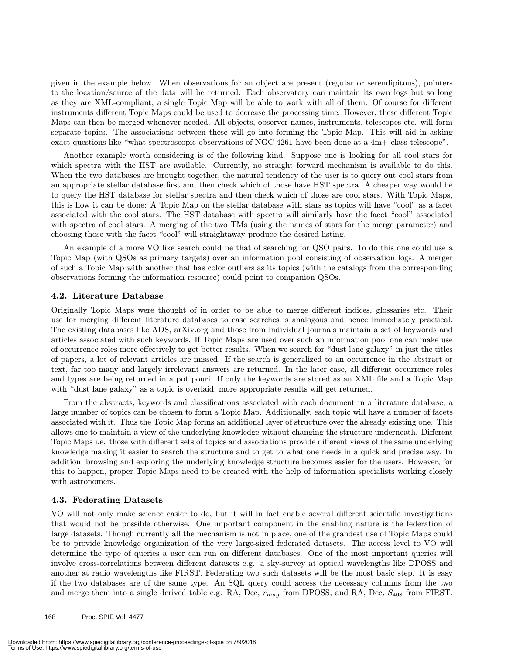given in the example below. When observations for an object are present (regular or serendipitous), pointers to the location/source of the data will be returned. Each observatory can maintain its own logs but so long as they are XML-compliant, a single Topic Map will be able to work with all of them. Of course for different instruments different Topic Maps could be used to decrease the processing time. However, these different Topic Maps can then be merged whenever needed. All objects, observer names, instruments, telescopes etc. will form separate topics. The associations between these will go into forming the Topic Map. This will aid in asking exact questions like "what spectroscopic observations of NGC 4261 have been done at a 4m+ class telescope".

Another example worth considering is of the following kind. Suppose one is looking for all cool stars for which spectra with the HST are available. Currently, no straight forward mechanism is available to do this. When the two databases are brought together, the natural tendency of the user is to query out cool stars from an appropriate stellar database first and then check which of those have HST spectra. A cheaper way would be to query the HST database for stellar spectra and then check which of those are cool stars. With Topic Maps, this is how it can be done: A Topic Map on the stellar database with stars as topics will have "cool" as a facet associated with the cool stars. The HST database with spectra will similarly have the facet "cool" associated with spectra of cool stars. A merging of the two TMs (using the names of stars for the merge parameter) and choosing those with the facet "cool" will straightaway produce the desired listing.

An example of a more VO like search could be that of searching for QSO pairs. To do this one could use a Topic Map (with QSOs as primary targets) over an information pool consisting of observation logs. A merger of such a Topic Map with another that has color outliers as its topics (with the catalogs from the corresponding observations forming the information resource) could point to companion QSOs.

#### 4.2. Literature Database

Originally Topic Maps were thought of in order to be able to merge different indices, glossaries etc. Their use for merging different literature databases to ease searches is analogous and hence immediately practical. The existing databases like ADS, arXiv.org and those from individual journals maintain a set of keywords and articles associated with such keywords. If Topic Maps are used over such an information pool one can make use of occurrence roles more effectively to get better results. When we search for "dust lane galaxy" in just the titles of papers, a lot of relevant articles are missed. If the search is generalized to an occurrence in the abstract or text, far too many and largely irrelevant answers are returned. In the later case, all different occurrence roles and types are being returned in a pot pouri. If only the keywords are stored as an XML file and a Topic Map with "dust lane galaxy" as a topic is overlaid, more appropriate results will get returned.

From the abstracts, keywords and classifications associated with each document in a literature database, a large number of topics can be chosen to form a Topic Map. Additionally, each topic will have a number of facets associated with it. Thus the Topic Map forms an additional layer of structure over the already existing one. This allows one to maintain a view of the underlying knowledge without changing the structure underneath. Different Topic Maps i.e. those with different sets of topics and associations provide different views of the same underlying knowledge making it easier to search the structure and to get to what one needs in a quick and precise way. In addition, browsing and exploring the underlying knowledge structure becomes easier for the users. However, for this to happen, proper Topic Maps need to be created with the help of information specialists working closely with astronomers.

#### 4.3. Federating Datasets

VO will not only make science easier to do, but it will in fact enable several different scientific investigations that would not be possible otherwise. One important component in the enabling nature is the federation of large datasets. Though currently all the mechanism is not in place, one of the grandest use of Topic Maps could be to provide knowledge organization of the very large-sized federated datasets. The access level to VO will determine the type of queries a user can run on different databases. One of the most important queries will involve cross-correlations between different datasets e.g. a sky-survey at optical wavelengths like DPOSS and another at radio wavelengths like FIRST. Federating two such datasets will be the most basic step. It is easy if the two databases are of the same type. An SQL query could access the necessary columns from the two and merge them into a single derived table e.g. RA, Dec,  $r_{mag}$  from DPOSS, and RA, Dec,  $S_{408}$  from FIRST.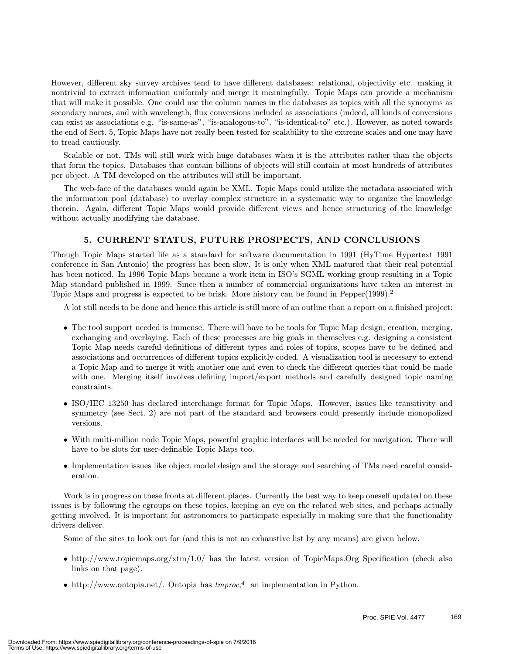However, different sky survey archives tend to have different databases: relational, objectivity etc. making it nontrivial to extract information uniformly and merge it meaningfully. Topic Maps can provide a mechanism that will make it possible. One could use the column names in the databases as topics with all the synonyms as secondary names, and with wavelength, flux conversions included as associations (indeed, all kinds of conversions can exist as associations e.g. "is-same-as", "is-analogous-to", "is-identical-to" etc.). However, as noted towards the end of Sect. 5, Topic Maps have not really been tested for scalability to the extreme scales and one may have to tread cautiously.

Scalable or not, TMs will still work with huge databases when it is the attributes rather than the objects that form the topics. Databases that contain billions of objects will still contain at most hundreds of attributes per object. A TM developed on the attributes will still be important.

The web-face of the databases would again be XML. Topic Maps could utilize the metadata associated with the information pool (database) to overlay complex structure in a systematic way to organize the knowledge therein. Again, different Topic Maps would provide different views and hence structuring of the knowledge without actually modifying the database.

# 5. CURRENT STATUS, FUTURE PROSPECTS, AND CONCLUSIONS

Though Topic Maps started life as a standard for software documentation in 1991 (HyTime Hypertext 1991 conference in San Antonio) the progress has been slow. It is only when XML matured that their real potential has been noticed. In 1996 Topic Maps became a work item in ISO's SGML working group resulting in a Topic Map standard published in 1999. Since then a number of commercial organizations have taken an interest in Topic Maps and progress is expected to be brisk. More history can be found in Pepper(1999).<sup>2</sup>

A lot still needs to be done and hence this article is still more of an outline than a report on a finished project:

- The tool support needed is immense. There will have to be tools for Topic Map design, creation, merging, exchanging and overlaying. Each of these processes are big goals in themselves e.g. designing a consistent Topic Map needs careful definitions of different types and roles of topics, scopes have to be defined and associations and occurrences of different topics explicitly coded. A visualization tool is necessary to extend a Topic Map and to merge it with another one and even to check the different queries that could be made with one. Merging itself involves defining import/export methods and carefully designed topic naming constraints.
- ISO/IEC 13250 has declared interchange format for Topic Maps. However, issues like transitivity and symmetry (see Sect. 2) are not part of the standard and browsers could presently include monopolized versions.
- With multi-million node Topic Maps, powerful graphic interfaces will be needed for navigation. There will have to be slots for user-definable Topic Maps too.
- Implementation issues like object model design and the storage and searching of TMs need careful consideration.

Work is in progress on these fronts at different places. Currently the best way to keep oneself updated on these issues is by following the egroups on these topics, keeping an eye on the related web sites, and perhaps actually getting involved. It is important for astronomers to participate especially in making sure that the functionality drivers deliver.

Some of the sites to look out for (and this is not an exhaustive list by any means) are given below.

- http://www.topicmaps.org/xtm/1.0/ has the latest version of TopicMaps.Org Specification (check also links on that page).
- $\bullet\ \text{http://www.ontopia.net/}.$  Ontopia has  $\mathit{tmproc,^4}\ \text{ an implementation in Python.}$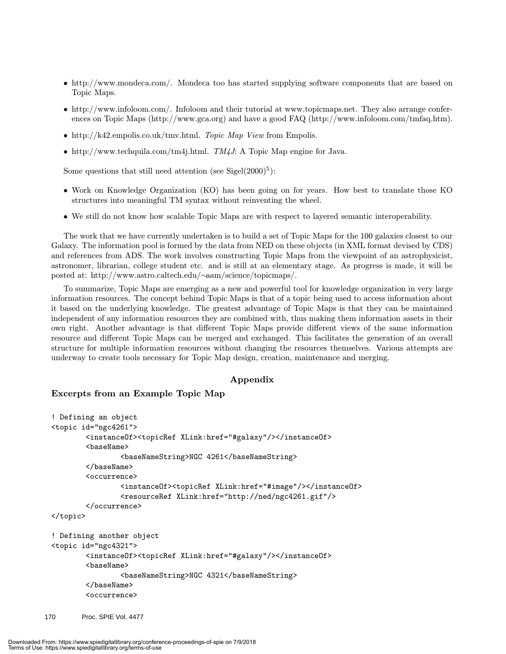- http://www.mondeca.com/. Mondeca too has started supplying software components that are based on Topic Maps.
- http://www.infoloom.com/. Infoloom and their tutorial at www.topicmaps.net. They also arrange conferences on Topic Maps (http://www.gca.org) and have a good FAQ (http://www.infoloom.com/tmfaq.htm).
- http://k42.empolis.co.uk/tmv.html. Topic Map View from Empolis.
- http://www.techquila.com/tm4j.html.  $TM4J$ : A Topic Map engine for Java.

Some questions that still need attention (see Sigel $(2000)^5$ ):

- Work on Knowledge Organization (KO) has been going on for years. How best to translate those KO structures into meaningful TM syntax without reinventing the wheel.
- We still do not know how scalable Topic Maps are with respect to layered semantic interoperability.

The work that we have currently undertaken is to build a set of Topic Maps for the 100 galaxies closest to our Galaxy. The information pool is formed by the data from NED on these objects (in XML format devised by CDS) and references from ADS. The work involves constructing Topic Maps from the viewpoint of an astrophysicist, astronomer, librarian, college student etc. and is still at an elementary stage. As progress is made, it will be posted at: http://www.astro.caltech.edu/∼aam/science/topicmaps/.

To summarize, Topic Maps are emerging as a new and powerful tool for knowledge organization in very large information resources. The concept behind Topic Maps is that of a topic being used to access information about it based on the underlying knowledge. The greatest advantage of Topic Maps is that they can be maintained independent of any information resources they are combined with, thus making them information assets in their own right. Another advantage is that different Topic Maps provide different views of the same information resource and different Topic Maps can be merged and exchanged. This facilitates the generation of an overall structure for multiple information resources without changing the resources themselves. Various attempts are underway to create tools necessary for Topic Map design, creation, maintenance and merging.

#### Appendix

# Excerpts from an Example Topic Map

```
! Defining an object
<topic id="ngc4261">
        <instanceOf><topicRef XLink:href="#galaxy"/></instanceOf>
        <baseName>
                <baseNameString>NGC 4261</baseNameString>
        </baseName>
        <occurrence>
                <instanceOf><topicRef XLink:href="#image"/></instanceOf>
                <resourceRef XLink:href="http://ned/ngc4261.gif"/>
        </occurrence>
</topic>
! Defining another object
<topic id="ngc4321">
        <instanceOf><topicRef XLink:href="#galaxy"/></instanceOf>
        <baseName>
                <baseNameString>NGC 4321</baseNameString>
        </baseName>
        <occurrence>
```

```
170 Proc. SPIE Vol. 4477
```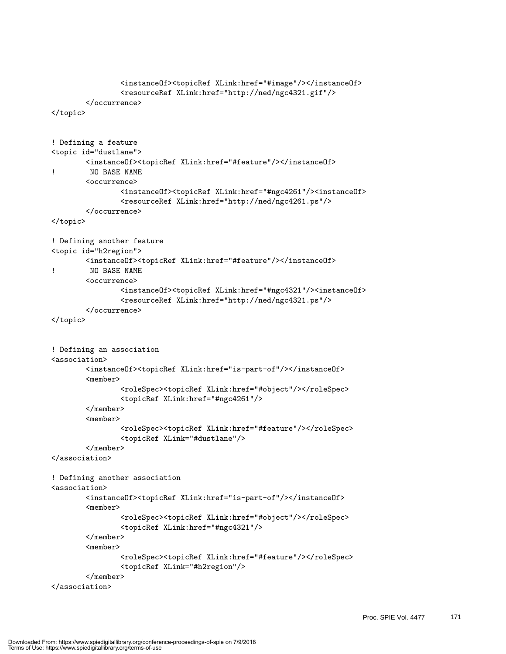```
<instanceOf><topicRef XLink:href="#image"/></instanceOf>
                <resourceRef XLink:href="http://ned/ngc4321.gif"/>
        </occurrence>
</topic>
! Defining a feature
<topic id="dustlane">
        <instanceOf><topicRef XLink:href="#feature"/></instanceOf>
! NO BASE NAME
        <occurrence>
                <instanceOf><topicRef XLink:href="#ngc4261"/><instanceOf>
                <resourceRef XLink:href="http://ned/ngc4261.ps"/>
        </occurrence>
</topic>
! Defining another feature
<topic id="h2region">
        <instanceOf><topicRef XLink:href="#feature"/></instanceOf>
! NO BASE NAME
        <occurrence>
                <instanceOf><topicRef XLink:href="#ngc4321"/><instanceOf>
                <resourceRef XLink:href="http://ned/ngc4321.ps"/>
        </occurrence>
</topic>
! Defining an association
<association>
        <instanceOf><topicRef XLink:href="is-part-of"/></instanceOf>
        <member>
                <roleSpec><topicRef XLink:href="#object"/></roleSpec>
                <topicRef XLink:href="#ngc4261"/>
        </member>
        <member>
                <roleSpec><topicRef XLink:href="#feature"/></roleSpec>
                <topicRef XLink="#dustlane"/>
        </member>
</association>
! Defining another association
<association>
        <instanceOf><topicRef XLink:href="is-part-of"/></instanceOf>
        <member>
                <roleSpec><topicRef XLink:href="#object"/></roleSpec>
                <topicRef XLink:href="#ngc4321"/>
        </member>
        <member>
                <roleSpec><topicRef XLink:href="#feature"/></roleSpec>
                <topicRef XLink="#h2region"/>
        </member>
</association>
```